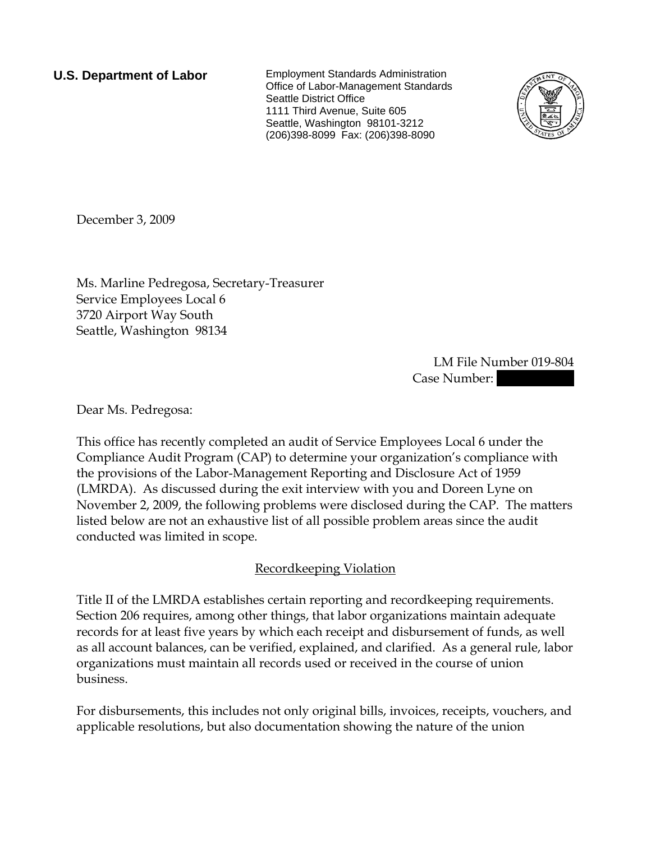**U.S. Department of Labor** Employment Standards Administration Office of Labor-Management Standards Seattle District Office 1111 Third Avenue, Suite 605 Seattle, Washington 98101-3212 (206)398-8099 Fax: (206)398-8090



December 3, 2009

Ms. Marline Pedregosa, Secretary-Treasurer Service Employees Local 6 3720 Airport Way South Seattle, Washington 98134

> LM File Number 019-804 Case Number:

Dear Ms. Pedregosa:

This office has recently completed an audit of Service Employees Local 6 under the Compliance Audit Program (CAP) to determine your organization's compliance with the provisions of the Labor-Management Reporting and Disclosure Act of 1959 (LMRDA). As discussed during the exit interview with you and Doreen Lyne on November 2, 2009, the following problems were disclosed during the CAP. The matters listed below are not an exhaustive list of all possible problem areas since the audit conducted was limited in scope.

## Recordkeeping Violation

Title II of the LMRDA establishes certain reporting and recordkeeping requirements. Section 206 requires, among other things, that labor organizations maintain adequate records for at least five years by which each receipt and disbursement of funds, as well as all account balances, can be verified, explained, and clarified. As a general rule, labor organizations must maintain all records used or received in the course of union business.

For disbursements, this includes not only original bills, invoices, receipts, vouchers, and applicable resolutions, but also documentation showing the nature of the union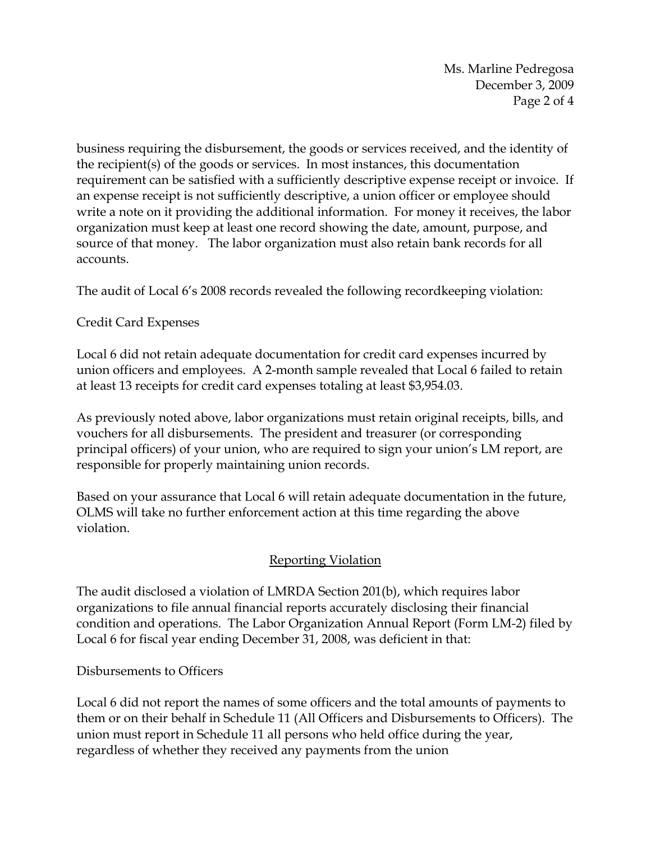Ms. Marline Pedregosa December 3, 2009 Page 2 of 4

business requiring the disbursement, the goods or services received, and the identity of the recipient(s) of the goods or services. In most instances, this documentation requirement can be satisfied with a sufficiently descriptive expense receipt or invoice. If an expense receipt is not sufficiently descriptive, a union officer or employee should write a note on it providing the additional information. For money it receives, the labor organization must keep at least one record showing the date, amount, purpose, and source of that money. The labor organization must also retain bank records for all accounts.

The audit of Local 6's 2008 records revealed the following recordkeeping violation:

## Credit Card Expenses

Local 6 did not retain adequate documentation for credit card expenses incurred by union officers and employees. A 2-month sample revealed that Local 6 failed to retain at least 13 receipts for credit card expenses totaling at least \$3,954.03.

As previously noted above, labor organizations must retain original receipts, bills, and vouchers for all disbursements. The president and treasurer (or corresponding principal officers) of your union, who are required to sign your union's LM report, are responsible for properly maintaining union records.

Based on your assurance that Local 6 will retain adequate documentation in the future, OLMS will take no further enforcement action at this time regarding the above violation.

## Reporting Violation

The audit disclosed a violation of LMRDA Section 201(b), which requires labor organizations to file annual financial reports accurately disclosing their financial condition and operations. The Labor Organization Annual Report (Form LM-2) filed by Local 6 for fiscal year ending December 31, 2008, was deficient in that:

## Disbursements to Officers

Local 6 did not report the names of some officers and the total amounts of payments to them or on their behalf in Schedule 11 (All Officers and Disbursements to Officers). The union must report in Schedule 11 all persons who held office during the year, regardless of whether they received any payments from the union